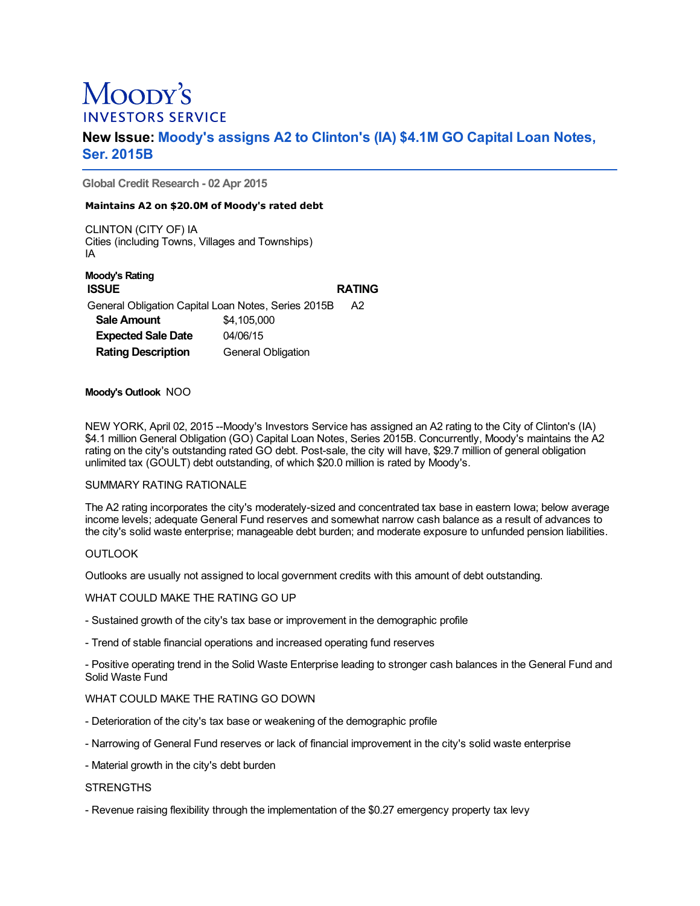# Moopy's **INVESTORS SERVICE**

# **New Issue: Moody's assigns A2 to Clinton's (IA) \$4.1M GO Capital Loan Notes, Ser. 2015B**

**Global Credit Research - 02 Apr 2015**

#### **Maintains A2 on \$20.0M of Moody's rated debt**

CLINTON (CITY OF) IA Cities (including Towns, Villages and Townships) IA

| Moody's Rating                                      |                           |                |
|-----------------------------------------------------|---------------------------|----------------|
| <b>ISSUE</b>                                        |                           | <b>RATING</b>  |
| General Obligation Capital Loan Notes, Series 2015B |                           | A <sub>2</sub> |
| <b>Sale Amount</b>                                  | \$4,105,000               |                |
| <b>Expected Sale Date</b>                           | 04/06/15                  |                |
| <b>Rating Description</b>                           | <b>General Obligation</b> |                |

#### **Moody's Outlook** NOO

NEW YORK, April 02, 2015 --Moody's Investors Service has assigned an A2 rating to the City of Clinton's (IA) \$4.1 million General Obligation (GO) Capital Loan Notes, Series 2015B. Concurrently, Moody's maintains the A2 rating on the city's outstanding rated GO debt. Post-sale, the city will have, \$29.7 million of general obligation unlimited tax (GOULT) debt outstanding, of which \$20.0 million is rated by Moody's.

# SUMMARY RATING RATIONALE

The A2 rating incorporates the city's moderately-sized and concentrated tax base in eastern Iowa; below average income levels; adequate General Fund reserves and somewhat narrow cash balance as a result of advances to the city's solid waste enterprise; manageable debt burden; and moderate exposure to unfunded pension liabilities.

# OUTLOOK

Outlooks are usually not assigned to local government credits with this amount of debt outstanding.

# WHAT COULD MAKE THE RATING GO UP

- Sustained growth of the city's tax base or improvement in the demographic profile

- Trend of stable financial operations and increased operating fund reserves

- Positive operating trend in the Solid Waste Enterprise leading to stronger cash balances in the General Fund and Solid Waste Fund

# WHAT COULD MAKE THE RATING GO DOWN

- Deterioration of the city's tax base or weakening of the demographic profile
- Narrowing of General Fund reserves or lack of financial improvement in the city's solid waste enterprise
- Material growth in the city's debt burden

#### **STRENGTHS**

- Revenue raising flexibility through the implementation of the \$0.27 emergency property tax levy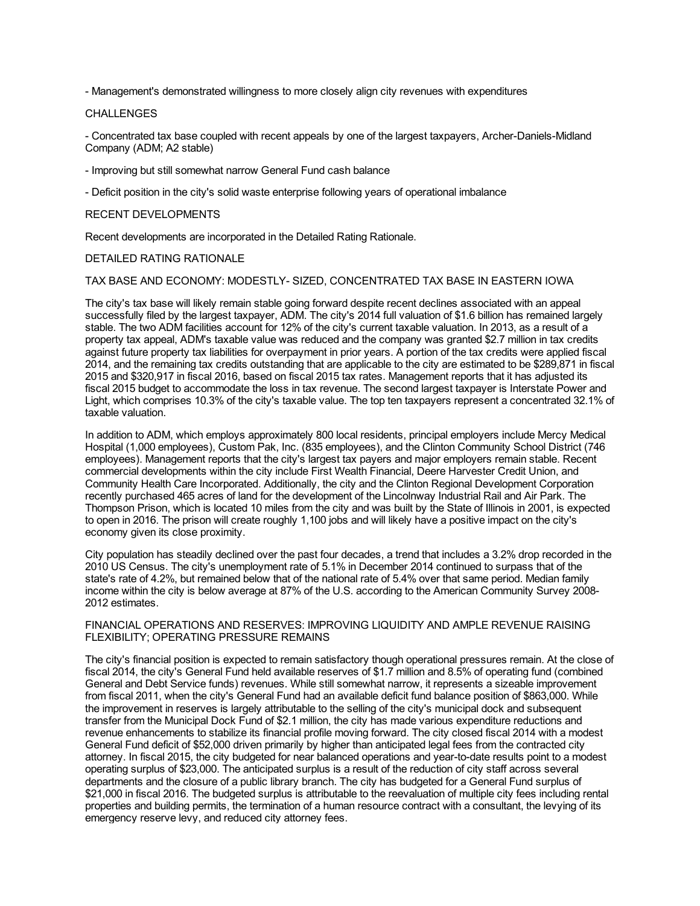- Management's demonstrated willingness to more closely align city revenues with expenditures

# **CHALLENGES**

- Concentrated tax base coupled with recent appeals by one of the largest taxpayers, Archer-Daniels-Midland Company (ADM; A2 stable)

- Improving but still somewhat narrow General Fund cash balance

- Deficit position in the city's solid waste enterprise following years of operational imbalance

# RECENT DEVELOPMENTS

Recent developments are incorporated in the Detailed Rating Rationale.

# DETAILED RATING RATIONALE

#### TAX BASE AND ECONOMY: MODESTLY- SIZED, CONCENTRATED TAX BASE IN EASTERN IOWA

The city's tax base will likely remain stable going forward despite recent declines associated with an appeal successfully filed by the largest taxpayer, ADM. The city's 2014 full valuation of \$1.6 billion has remained largely stable. The two ADM facilities account for 12% of the city's current taxable valuation. In 2013, as a result of a property tax appeal, ADM's taxable value was reduced and the company was granted \$2.7 million in tax credits against future property tax liabilities for overpayment in prior years. A portion of the tax credits were applied fiscal 2014, and the remaining tax credits outstanding that are applicable to the city are estimated to be \$289,871 in fiscal 2015 and \$320,917 in fiscal 2016, based on fiscal 2015 tax rates. Management reports that it has adjusted its fiscal 2015 budget to accommodate the loss in tax revenue. The second largest taxpayer is Interstate Power and Light, which comprises 10.3% of the city's taxable value. The top ten taxpayers represent a concentrated 32.1% of taxable valuation.

In addition to ADM, which employs approximately 800 local residents, principal employers include Mercy Medical Hospital (1,000 employees), Custom Pak, Inc. (835 employees), and the Clinton Community School District (746 employees). Management reports that the city's largest tax payers and major employers remain stable. Recent commercial developments within the city include First Wealth Financial, Deere Harvester Credit Union, and Community Health Care Incorporated. Additionally, the city and the Clinton Regional Development Corporation recently purchased 465 acres of land for the development of the Lincolnway Industrial Rail and Air Park. The Thompson Prison, which is located 10 miles from the city and was built by the State of Illinois in 2001, is expected to open in 2016. The prison will create roughly 1,100 jobs and will likely have a positive impact on the city's economy given its close proximity.

City population has steadily declined over the past four decades, a trend that includes a 3.2% drop recorded in the 2010 US Census. The city's unemployment rate of 5.1% in December 2014 continued to surpass that of the state's rate of 4.2%, but remained below that of the national rate of 5.4% over that same period. Median family income within the city is below average at 87% of the U.S. according to the American Community Survey 2008- 2012 estimates.

FINANCIAL OPERATIONS AND RESERVES: IMPROVING LIQUIDITY AND AMPLE REVENUE RAISING FLEXIBILITY; OPERATING PRESSURE REMAINS

The city's financial position is expected to remain satisfactory though operational pressures remain. At the close of fiscal 2014, the city's General Fund held available reserves of \$1.7 million and 8.5% of operating fund (combined General and Debt Service funds) revenues. While still somewhat narrow, it represents a sizeable improvement from fiscal 2011, when the city's General Fund had an available deficit fund balance position of \$863,000. While the improvement in reserves is largely attributable to the selling of the city's municipal dock and subsequent transfer from the Municipal Dock Fund of \$2.1 million, the city has made various expenditure reductions and revenue enhancements to stabilize its financial profile moving forward. The city closed fiscal 2014 with a modest General Fund deficit of \$52,000 driven primarily by higher than anticipated legal fees from the contracted city attorney. In fiscal 2015, the city budgeted for near balanced operations and year-to-date results point to a modest operating surplus of \$23,000. The anticipated surplus is a result of the reduction of city staff across several departments and the closure of a public library branch. The city has budgeted for a General Fund surplus of \$21,000 in fiscal 2016. The budgeted surplus is attributable to the reevaluation of multiple city fees including rental properties and building permits, the termination of a human resource contract with a consultant, the levying of its emergency reserve levy, and reduced city attorney fees.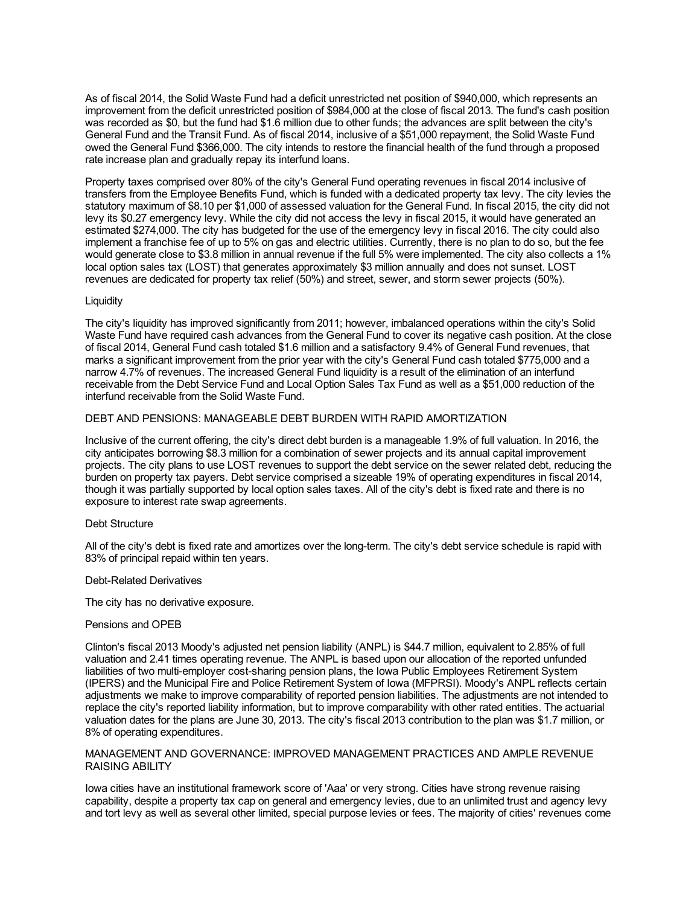As of fiscal 2014, the Solid Waste Fund had a deficit unrestricted net position of \$940,000, which represents an improvement from the deficit unrestricted position of \$984,000 at the close of fiscal 2013. The fund's cash position was recorded as \$0, but the fund had \$1.6 million due to other funds; the advances are split between the city's General Fund and the Transit Fund. As of fiscal 2014, inclusive of a \$51,000 repayment, the Solid Waste Fund owed the General Fund \$366,000. The city intends to restore the financial health of the fund through a proposed rate increase plan and gradually repay its interfund loans.

Property taxes comprised over 80% of the city's General Fund operating revenues in fiscal 2014 inclusive of transfers from the Employee Benefits Fund, which is funded with a dedicated property tax levy. The city levies the statutory maximum of \$8.10 per \$1,000 of assessed valuation for the General Fund. In fiscal 2015, the city did not levy its \$0.27 emergency levy. While the city did not access the levy in fiscal 2015, it would have generated an estimated \$274,000. The city has budgeted for the use of the emergency levy in fiscal 2016. The city could also implement a franchise fee of up to 5% on gas and electric utilities. Currently, there is no plan to do so, but the fee would generate close to \$3.8 million in annual revenue if the full 5% were implemented. The city also collects a 1% local option sales tax (LOST) that generates approximately \$3 million annually and does not sunset. LOST revenues are dedicated for property tax relief (50%) and street, sewer, and storm sewer projects (50%).

## Liquidity

The city's liquidity has improved significantly from 2011; however, imbalanced operations within the city's Solid Waste Fund have required cash advances from the General Fund to cover its negative cash position. At the close of fiscal 2014, General Fund cash totaled \$1.6 million and a satisfactory 9.4% of General Fund revenues, that marks a significant improvement from the prior year with the city's General Fund cash totaled \$775,000 and a narrow 4.7% of revenues. The increased General Fund liquidity is a result of the elimination of an interfund receivable from the Debt Service Fund and Local Option Sales Tax Fund as well as a \$51,000 reduction of the interfund receivable from the Solid Waste Fund.

# DEBT AND PENSIONS: MANAGEABLE DEBT BURDEN WITH RAPID AMORTIZATION

Inclusive of the current offering, the city's direct debt burden is a manageable 1.9% of full valuation. In 2016, the city anticipates borrowing \$8.3 million for a combination of sewer projects and its annual capital improvement projects. The city plans to use LOST revenues to support the debt service on the sewer related debt, reducing the burden on property tax payers. Debt service comprised a sizeable 19% of operating expenditures in fiscal 2014, though it was partially supported by local option sales taxes. All of the city's debt is fixed rate and there is no exposure to interest rate swap agreements.

#### Debt Structure

All of the city's debt is fixed rate and amortizes over the long-term. The city's debt service schedule is rapid with 83% of principal repaid within ten years.

# Debt-Related Derivatives

The city has no derivative exposure.

# Pensions and OPEB

Clinton's fiscal 2013 Moody's adjusted net pension liability (ANPL) is \$44.7 million, equivalent to 2.85% of full valuation and 2.41 times operating revenue. The ANPL is based upon our allocation of the reported unfunded liabilities of two multi-employer cost-sharing pension plans, the Iowa Public Employees Retirement System (IPERS) and the Municipal Fire and Police Retirement System of Iowa (MFPRSI). Moody's ANPL reflects certain adjustments we make to improve comparability of reported pension liabilities. The adjustments are not intended to replace the city's reported liability information, but to improve comparability with other rated entities. The actuarial valuation dates for the plans are June 30, 2013. The city's fiscal 2013 contribution to the plan was \$1.7 million, or 8% of operating expenditures.

# MANAGEMENT AND GOVERNANCE: IMPROVED MANAGEMENT PRACTICES AND AMPLE REVENUE RAISING ABILITY

Iowa cities have an institutional framework score of 'Aaa' or very strong. Cities have strong revenue raising capability, despite a property tax cap on general and emergency levies, due to an unlimited trust and agency levy and tort levy as well as several other limited, special purpose levies or fees. The majority of cities' revenues come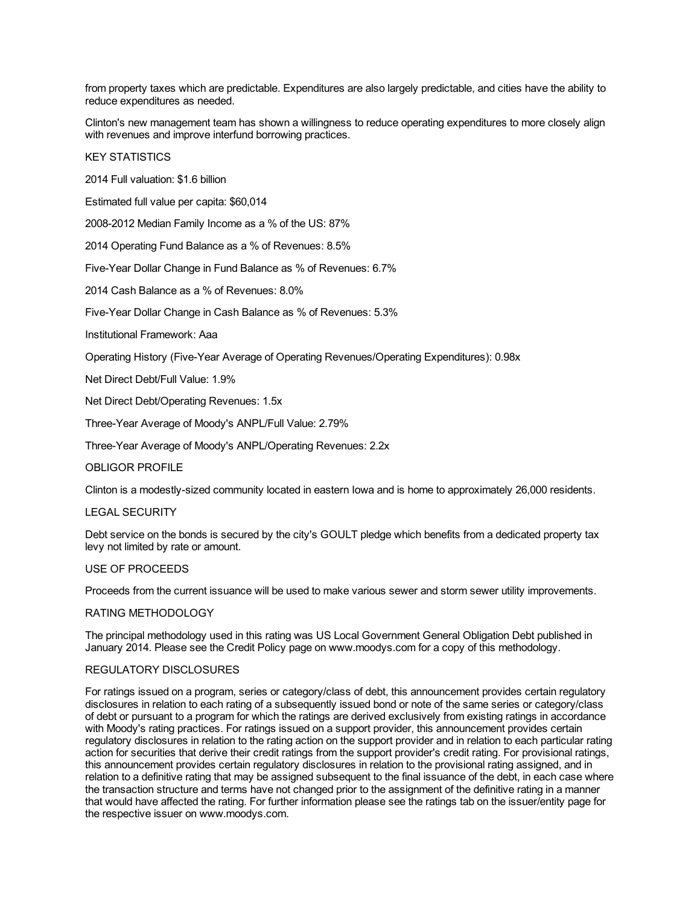from property taxes which are predictable. Expenditures are also largely predictable, and cities have the ability to reduce expenditures as needed.

Clinton's new management team has shown a willingness to reduce operating expenditures to more closely align with revenues and improve interfund borrowing practices.

# KEY STATISTICS

2014 Full valuation: \$1.6 billion

Estimated full value per capita: \$60,014

2008-2012 Median Family Income as a % of the US: 87%

2014 Operating Fund Balance as a % of Revenues: 8.5%

Five-Year Dollar Change in Fund Balance as % of Revenues: 6.7%

2014 Cash Balance as a % of Revenues: 8.0%

Five-Year Dollar Change in Cash Balance as % of Revenues: 5.3%

Institutional Framework: Aaa

Operating History (Five-Year Average of Operating Revenues/Operating Expenditures): 0.98x

Net Direct Debt/Full Value: 1.9%

Net Direct Debt/Operating Revenues: 1.5x

Three-Year Average of Moody's ANPL/Full Value: 2.79%

Three-Year Average of Moody's ANPL/Operating Revenues: 2.2x

# OBLIGOR PROFILE

Clinton is a modestly-sized community located in eastern Iowa and is home to approximately 26,000 residents.

## LEGAL SECURITY

Debt service on the bonds is secured by the city's GOULT pledge which benefits from a dedicated property tax levy not limited by rate or amount.

#### USE OF PROCEEDS

Proceeds from the current issuance will be used to make various sewer and storm sewer utility improvements.

#### RATING METHODOLOGY

The principal methodology used in this rating was US Local Government General Obligation Debt published in January 2014. Please see the Credit Policy page on www.moodys.com for a copy of this methodology.

#### REGULATORY DISCLOSURES

For ratings issued on a program, series or category/class of debt, this announcement provides certain regulatory disclosures in relation to each rating of a subsequently issued bond or note of the same series or category/class of debt or pursuant to a program for which the ratings are derived exclusively from existing ratings in accordance with Moody's rating practices. For ratings issued on a support provider, this announcement provides certain regulatory disclosures in relation to the rating action on the support provider and in relation to each particular rating action for securities that derive their credit ratings from the support provider's credit rating. For provisional ratings, this announcement provides certain regulatory disclosures in relation to the provisional rating assigned, and in relation to a definitive rating that may be assigned subsequent to the final issuance of the debt, in each case where the transaction structure and terms have not changed prior to the assignment of the definitive rating in a manner that would have affected the rating. For further information please see the ratings tab on the issuer/entity page for the respective issuer on www.moodys.com.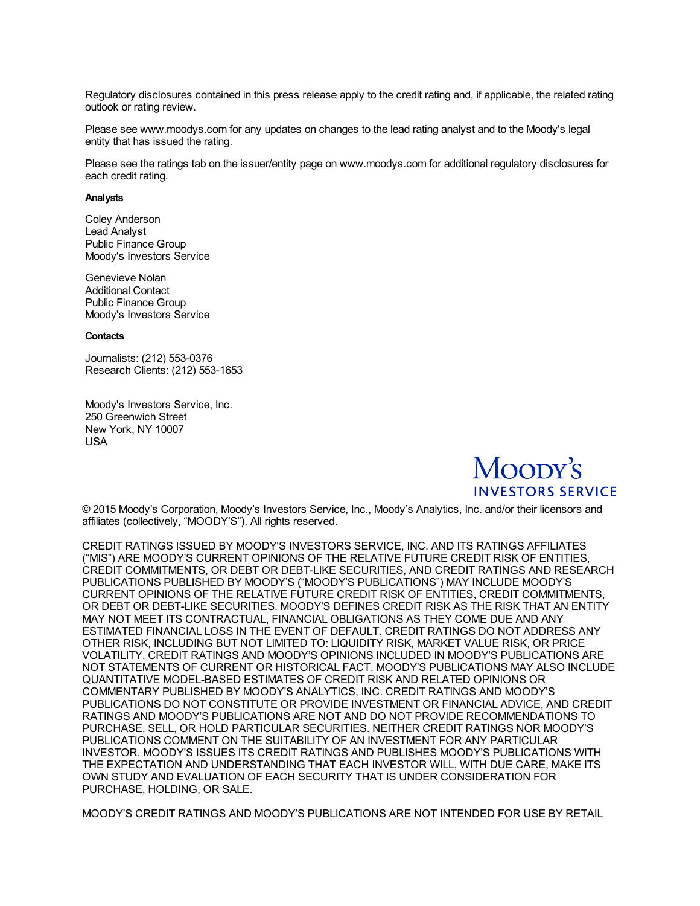Regulatory disclosures contained in this press release apply to the credit rating and, if applicable, the related rating outlook or rating review.

Please see www.moodys.com for any updates on changes to the lead rating analyst and to the Moody's legal entity that has issued the rating.

Please see the ratings tab on the issuer/entity page on www.moodys.com for additional regulatory disclosures for each credit rating.

#### **Analysts**

Coley Anderson Lead Analyst Public Finance Group Moody's Investors Service

Genevieve Nolan Additional Contact Public Finance Group Moody's Investors Service

#### **Contacts**

Journalists: (212) 553-0376 Research Clients: (212) 553-1653

Moody's Investors Service, Inc. 250 Greenwich Street New York, NY 10007 USA



© 2015 Moody's Corporation, Moody's Investors Service, Inc., Moody's Analytics, Inc. and/or their licensors and affiliates (collectively, "MOODY'S"). All rights reserved.

CREDIT RATINGS ISSUED BY MOODY'S INVESTORS SERVICE, INC. AND ITS RATINGS AFFILIATES ("MIS") ARE MOODY'S CURRENT OPINIONS OF THE RELATIVE FUTURE CREDIT RISK OF ENTITIES, CREDIT COMMITMENTS, OR DEBT OR DEBT-LIKE SECURITIES, AND CREDIT RATINGS AND RESEARCH PUBLICATIONS PUBLISHED BY MOODY'S ("MOODY'S PUBLICATIONS") MAY INCLUDE MOODY'S CURRENT OPINIONS OF THE RELATIVE FUTURE CREDIT RISK OF ENTITIES, CREDIT COMMITMENTS, OR DEBT OR DEBT-LIKE SECURITIES. MOODY'S DEFINES CREDIT RISK AS THE RISK THAT AN ENTITY MAY NOT MEET ITS CONTRACTUAL, FINANCIAL OBLIGATIONS AS THEY COME DUE AND ANY ESTIMATED FINANCIAL LOSS IN THE EVENT OF DEFAULT. CREDIT RATINGS DO NOT ADDRESS ANY OTHER RISK, INCLUDING BUT NOT LIMITED TO: LIQUIDITY RISK, MARKET VALUE RISK, OR PRICE VOLATILITY. CREDIT RATINGS AND MOODY'S OPINIONS INCLUDED IN MOODY'S PUBLICATIONS ARE NOT STATEMENTS OF CURRENT OR HISTORICAL FACT. MOODY'S PUBLICATIONS MAY ALSO INCLUDE QUANTITATIVE MODEL-BASED ESTIMATES OF CREDIT RISK AND RELATED OPINIONS OR COMMENTARY PUBLISHED BY MOODY'S ANALYTICS, INC. CREDIT RATINGS AND MOODY'S PUBLICATIONS DO NOT CONSTITUTE OR PROVIDE INVESTMENT OR FINANCIAL ADVICE, AND CREDIT RATINGS AND MOODY'S PUBLICATIONS ARE NOT AND DO NOT PROVIDE RECOMMENDATIONS TO PURCHASE, SELL, OR HOLD PARTICULAR SECURITIES. NEITHER CREDIT RATINGS NOR MOODY'S PUBLICATIONS COMMENT ON THE SUITABILITY OF AN INVESTMENT FOR ANY PARTICULAR INVESTOR. MOODY'S ISSUES ITS CREDIT RATINGS AND PUBLISHES MOODY'S PUBLICATIONS WITH THE EXPECTATION AND UNDERSTANDING THAT EACH INVESTOR WILL, WITH DUE CARE, MAKE ITS OWN STUDY AND EVALUATION OF EACH SECURITY THAT IS UNDER CONSIDERATION FOR PURCHASE, HOLDING, OR SALE.

MOODY'S CREDIT RATINGS AND MOODY'S PUBLICATIONS ARE NOT INTENDED FOR USE BY RETAIL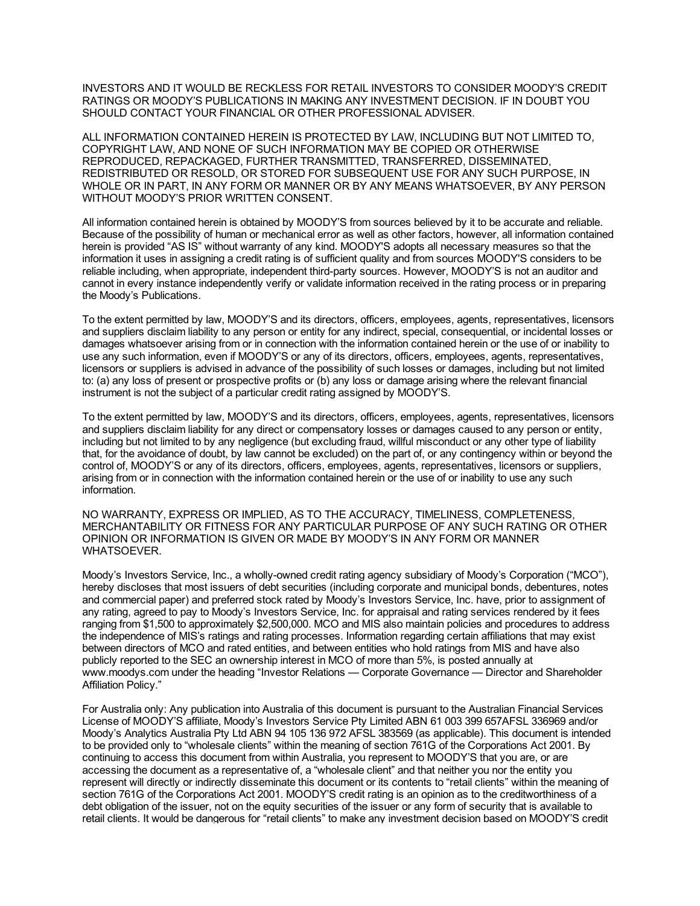INVESTORS AND IT WOULD BE RECKLESS FOR RETAIL INVESTORS TO CONSIDER MOODY'S CREDIT RATINGS OR MOODY'S PUBLICATIONS IN MAKING ANY INVESTMENT DECISION. IF IN DOUBT YOU SHOULD CONTACT YOUR FINANCIAL OR OTHER PROFESSIONAL ADVISER.

ALL INFORMATION CONTAINED HEREIN IS PROTECTED BY LAW, INCLUDING BUT NOT LIMITED TO, COPYRIGHT LAW, AND NONE OF SUCH INFORMATION MAY BE COPIED OR OTHERWISE REPRODUCED, REPACKAGED, FURTHER TRANSMITTED, TRANSFERRED, DISSEMINATED, REDISTRIBUTED OR RESOLD, OR STORED FOR SUBSEQUENT USE FOR ANY SUCH PURPOSE, IN WHOLE OR IN PART, IN ANY FORM OR MANNER OR BY ANY MEANS WHATSOEVER, BY ANY PERSON WITHOUT MOODY'S PRIOR WRITTEN CONSENT.

All information contained herein is obtained by MOODY'S from sources believed by it to be accurate and reliable. Because of the possibility of human or mechanical error as well as other factors, however, all information contained herein is provided "AS IS" without warranty of any kind. MOODY'S adopts all necessary measures so that the information it uses in assigning a credit rating is of sufficient quality and from sources MOODY'S considers to be reliable including, when appropriate, independent third-party sources. However, MOODY'S is not an auditor and cannot in every instance independently verify or validate information received in the rating process or in preparing the Moody's Publications.

To the extent permitted by law, MOODY'S and its directors, officers, employees, agents, representatives, licensors and suppliers disclaim liability to any person or entity for any indirect, special, consequential, or incidental losses or damages whatsoever arising from or in connection with the information contained herein or the use of or inability to use any such information, even if MOODY'S or any of its directors, officers, employees, agents, representatives, licensors or suppliers is advised in advance of the possibility of such losses or damages, including but not limited to: (a) any loss of present or prospective profits or (b) any loss or damage arising where the relevant financial instrument is not the subject of a particular credit rating assigned by MOODY'S.

To the extent permitted by law, MOODY'S and its directors, officers, employees, agents, representatives, licensors and suppliers disclaim liability for any direct or compensatory losses or damages caused to any person or entity, including but not limited to by any negligence (but excluding fraud, willful misconduct or any other type of liability that, for the avoidance of doubt, by law cannot be excluded) on the part of, or any contingency within or beyond the control of, MOODY'S or any of its directors, officers, employees, agents, representatives, licensors or suppliers, arising from or in connection with the information contained herein or the use of or inability to use any such information.

NO WARRANTY, EXPRESS OR IMPLIED, AS TO THE ACCURACY, TIMELINESS, COMPLETENESS, MERCHANTABILITY OR FITNESS FOR ANY PARTICULAR PURPOSE OF ANY SUCH RATING OR OTHER OPINION OR INFORMATION IS GIVEN OR MADE BY MOODY'S IN ANY FORM OR MANNER WHATSOEVER.

Moody's Investors Service, Inc., a wholly-owned credit rating agency subsidiary of Moody's Corporation ("MCO"), hereby discloses that most issuers of debt securities (including corporate and municipal bonds, debentures, notes and commercial paper) and preferred stock rated by Moody's Investors Service, Inc. have, prior to assignment of any rating, agreed to pay to Moody's Investors Service, Inc. for appraisal and rating services rendered by it fees ranging from \$1,500 to approximately \$2,500,000. MCO and MIS also maintain policies and procedures to address the independence of MIS's ratings and rating processes. Information regarding certain affiliations that may exist between directors of MCO and rated entities, and between entities who hold ratings from MIS and have also publicly reported to the SEC an ownership interest in MCO of more than 5%, is posted annually at www.moodys.com under the heading "Investor Relations — Corporate Governance — Director and Shareholder Affiliation Policy."

For Australia only: Any publication into Australia of this document is pursuant to the Australian Financial Services License of MOODY'S affiliate, Moody's Investors Service Pty Limited ABN 61 003 399 657AFSL 336969 and/or Moody's Analytics Australia Pty Ltd ABN 94 105 136 972 AFSL 383569 (as applicable). This document is intended to be provided only to "wholesale clients" within the meaning of section 761G of the Corporations Act 2001. By continuing to access this document from within Australia, you represent to MOODY'S that you are, or are accessing the document as a representative of, a "wholesale client" and that neither you nor the entity you represent will directly or indirectly disseminate this document or its contents to "retail clients" within the meaning of section 761G of the Corporations Act 2001. MOODY'S credit rating is an opinion as to the creditworthiness of a debt obligation of the issuer, not on the equity securities of the issuer or any form of security that is available to retail clients. It would be dangerous for "retail clients" to make any investment decision based on MOODY'S credit